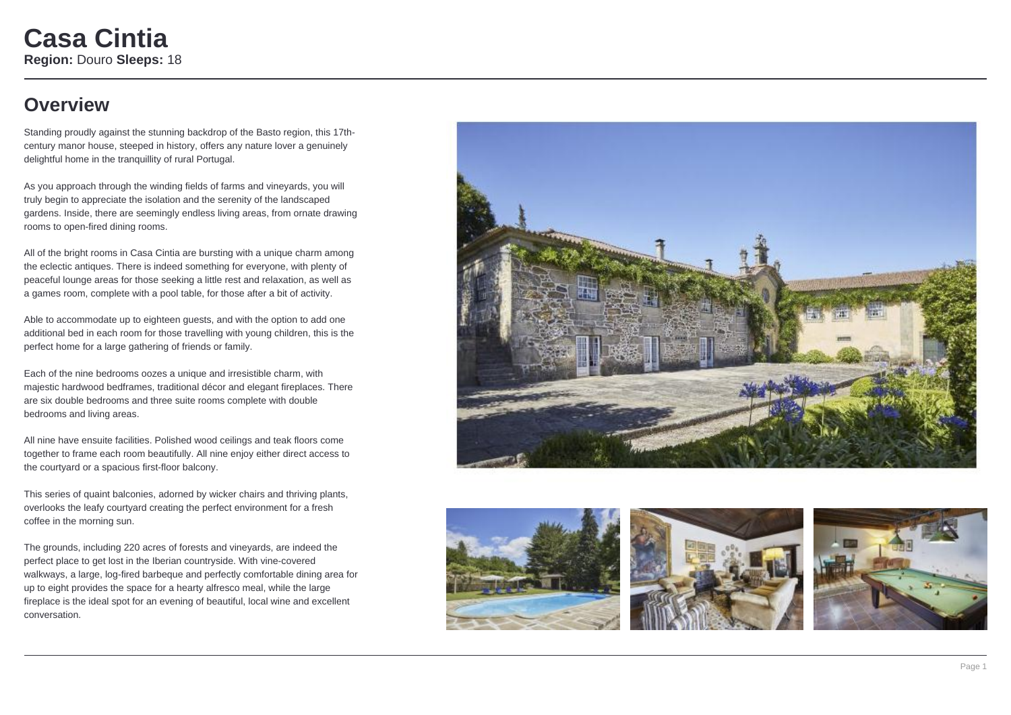### **Overview**

Standing proudly against the stunning backdrop of the Basto region, this 17thcentury manor house, steeped in history, offers any nature lover a genuinely delightful home in the tranquillity of rural Portugal.

As you approach through the winding fields of farms and vineyards, you will truly begin to appreciate the isolation and the serenity of the landscaped gardens. Inside, there are seemingly endless living areas, from ornate drawing rooms to open-fired dining rooms.

All of the bright rooms in Casa Cintia are bursting with a unique charm among the eclectic antiques. There is indeed something for everyone, with plenty of peaceful lounge areas for those seeking a little rest and relaxation, as well as a games room, complete with a pool table, for those after a bit of activity.

Able to accommodate up to eighteen guests, and with the option to add one additional bed in each room for those travelling with young children, this is the perfect home for a large gathering of friends or family.

Each of the nine bedrooms oozes a unique and irresistible charm, with majestic hardwood bedframes, traditional décor and elegant fireplaces. There are six double bedrooms and three suite rooms complete with double bedrooms and living areas.

All nine have ensuite facilities. Polished wood ceilings and teak floors come together to frame each room beautifully. All nine enjoy either direct access to the courtyard or a spacious first-floor balcony.

This series of quaint balconies, adorned by wicker chairs and thriving plants, overlooks the leafy courtyard creating the perfect environment for a fresh coffee in the morning sun.

The grounds, including 220 acres of forests and vineyards, are indeed the perfect place to get lost in the Iberian countryside. With vine-covered walkways, a large, log-fired barbeque and perfectly comfortable dining area for up to eight provides the space for a hearty alfresco meal, while the large fireplace is the ideal spot for an evening of beautiful, local wine and excellent conversation.







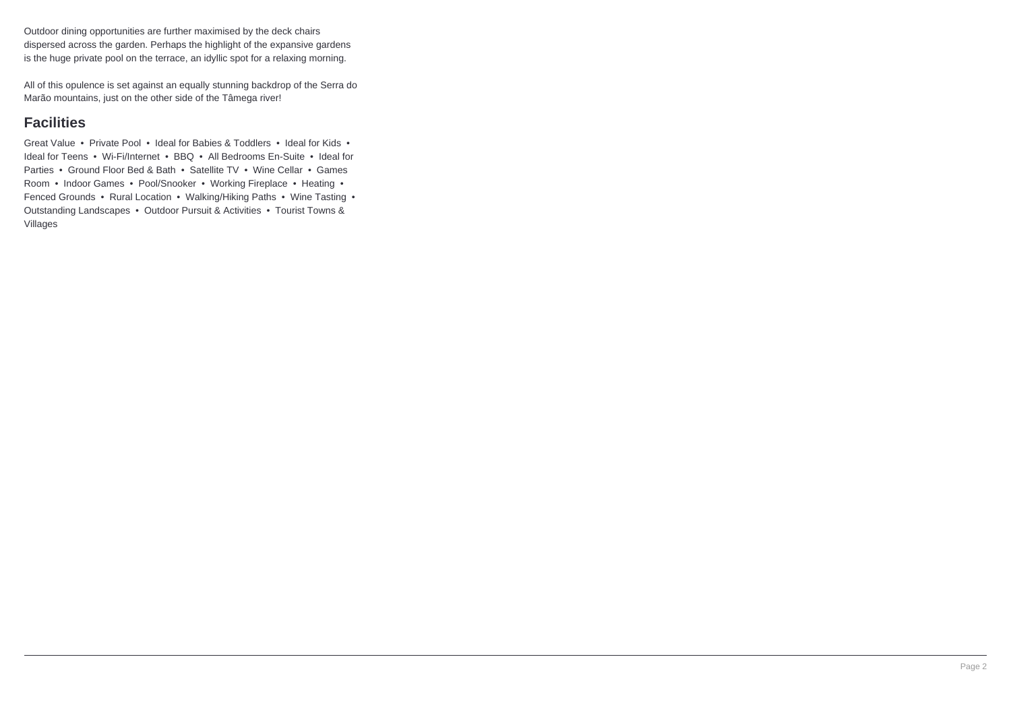Outdoor dining opportunities are further maximised by the deck chairs dispersed across the garden. Perhaps the highlight of the expansive gardens is the huge private pool on the terrace, an idyllic spot for a relaxing morning.

All of this opulence is set against an equally stunning backdrop of the Serra do Marão mountains, just on the other side of the Tâmega river!

### **Facilities**

Great Value • Private Pool • Ideal for Babies & Toddlers • Ideal for Kids • Ideal for Teens • Wi-Fi/Internet • BBQ • All Bedrooms En-Suite • Ideal for Parties • Ground Floor Bed & Bath • Satellite TV • Wine Cellar • Games Room • Indoor Games • Pool/Snooker • Working Fireplace • Heating • Fenced Grounds • Rural Location • Walking/Hiking Paths • Wine Tasting • Outstanding Landscapes • Outdoor Pursuit & Activities • Tourist Towns & Villages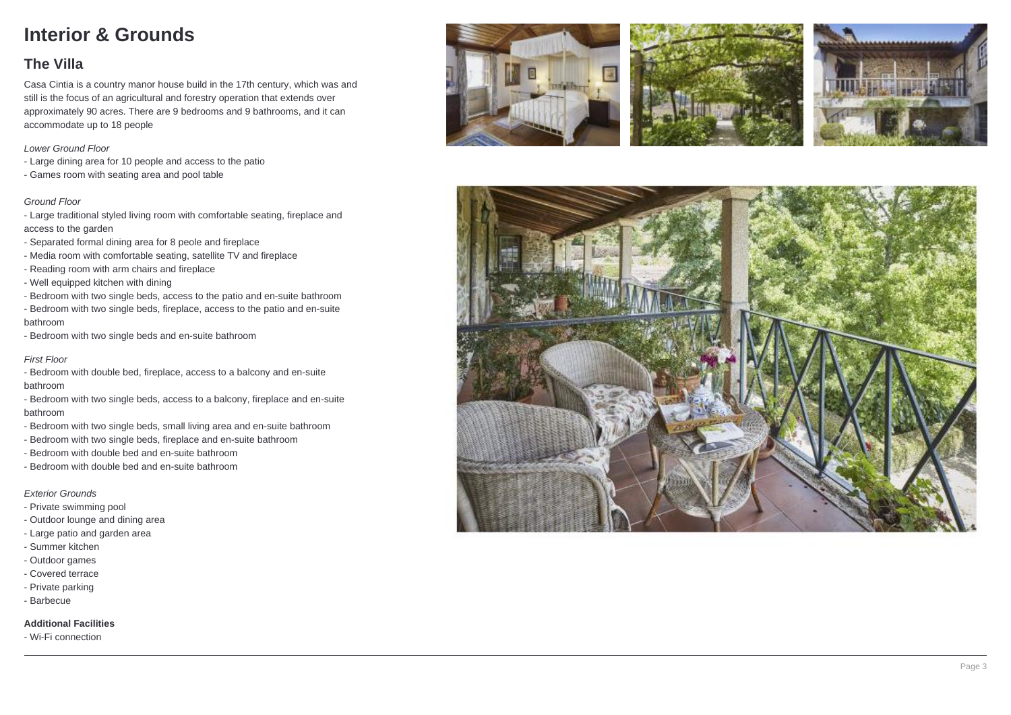# **Interior & Grounds**

### **The Villa**

Casa Cintia is a country manor house build in the 17th century, which was and still is the focus of an agricultural and forestry operation that extends over approximately 90 acres. There are 9 bedrooms and 9 bathrooms, and it can accommodate up to 18 people

#### Lower Ground Floor

- Large dining area for 10 people and access to the patio
- Games room with seating area and pool table

#### Ground Floor

- Large traditional styled living room with comfortable seating, fireplace and access to the garden

- Separated formal dining area for 8 peole and fireplace
- Media room with comfortable seating, satellite TV and fireplace
- Reading room with arm chairs and fireplace
- Well equipped kitchen with dining
- Bedroom with two single beds, access to the patio and en-suite bathroom
- Bedroom with two single beds, fireplace, access to the patio and en-suite bathroom
- Bedroom with two single beds and en-suite bathroom

#### First Floor

- Bedroom with double bed, fireplace, access to a balcony and en-suite bathroom
- Bedroom with two single beds, access to a balcony, fireplace and en-suite bathroom
- Bedroom with two single beds, small living area and en-suite bathroom
- Bedroom with two single beds, fireplace and en-suite bathroom
- Bedroom with double bed and en-suite bathroom
- Bedroom with double bed and en-suite bathroom

#### Exterior Grounds

- Private swimming pool
- Outdoor lounge and dining area
- Large patio and garden area
- Summer kitchen
- Outdoor games
- Covered terrace
- Private parking
- Barbecue

#### **Additional Facilities**

- Wi-Fi connection







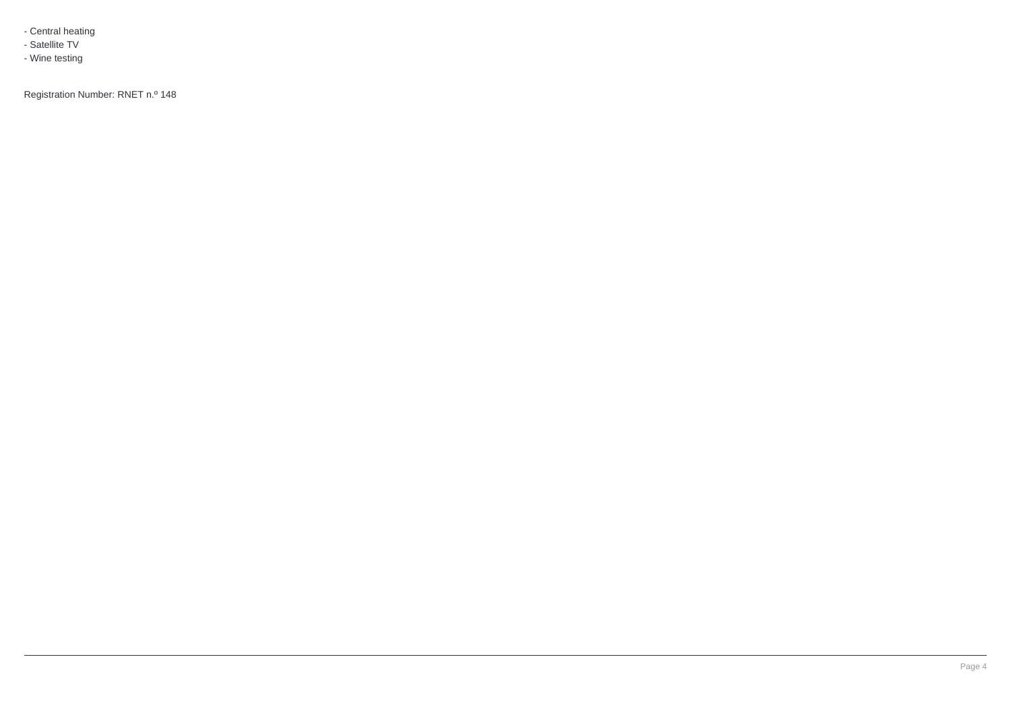- Central heating

- Satellite TV
- Wine testing

Registration Number: RNET n.º 148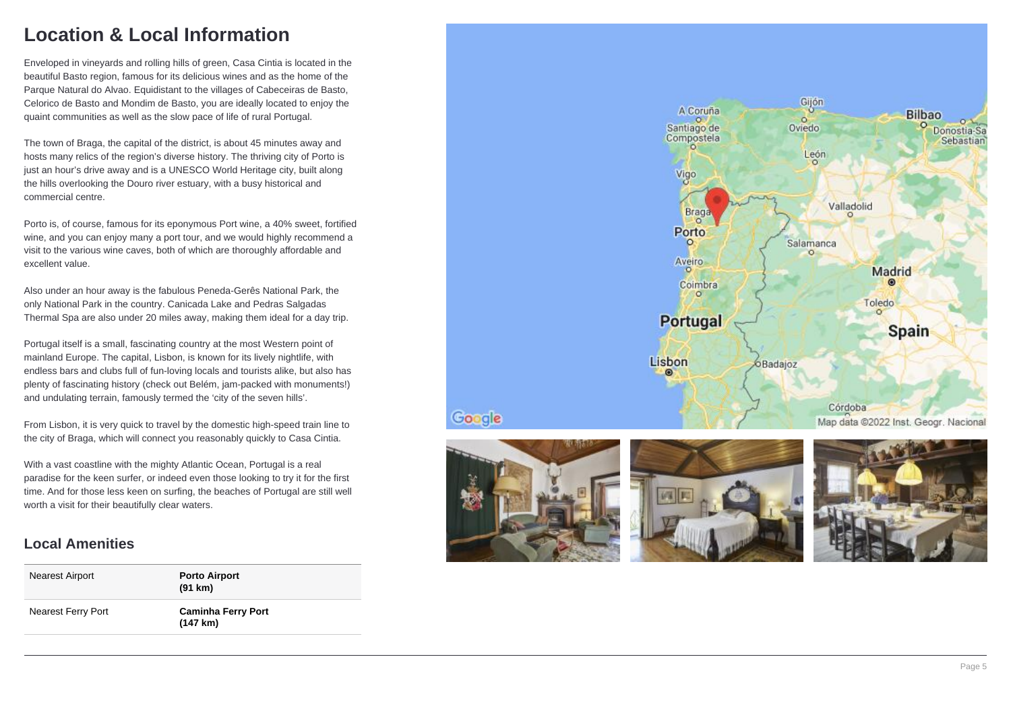### **Location & Local Information**

Enveloped in vineyards and rolling hills of green, Casa Cintia is located in the beautiful Basto region, famous for its delicious wines and as the home of the Parque Natural do Alvao. Equidistant to the villages of Cabeceiras de Basto, Celorico de Basto and Mondim de Basto, you are ideally located to enjoy the quaint communities as well as the slow pace of life of rural Portugal.

The town of Braga, the capital of the district, is about 45 minutes away and hosts many relics of the region's diverse history. The thriving city of Porto is just an hour's drive away and is a UNESCO World Heritage city, built along the hills overlooking the Douro river estuary, with a busy historical and commercial centre.

Porto is, of course, famous for its eponymous Port wine, a 40% sweet, fortified wine, and you can enjoy many a port tour, and we would highly recommend a visit to the various wine caves, both of which are thoroughly affordable and excellent value.

Also under an hour away is the fabulous Peneda-Gerês National Park, the only National Park in the country. Canicada Lake and Pedras Salgadas Thermal Spa are also under 20 miles away, making them ideal for a day trip.

Portugal itself is a small, fascinating country at the most Western point of mainland Europe. The capital, Lisbon, is known for its lively nightlife, with endless bars and clubs full of fun-loving locals and tourists alike, but also has plenty of fascinating history (check out Belém, jam-packed with monuments!) and undulating terrain, famously termed the 'city of the seven hills'.

From Lisbon, it is very quick to travel by the domestic high-speed train line to the city of Braga, which will connect you reasonably quickly to Casa Cintia.

With a vast coastline with the mighty Atlantic Ocean, Portugal is a real paradise for the keen surfer, or indeed even those looking to try it for the first time. And for those less keen on surfing, the beaches of Portugal are still well worth a visit for their beautifully clear waters.

### **Local Amenities**

| Nearest Airport    | <b>Porto Airport</b><br>(91 km)                 |
|--------------------|-------------------------------------------------|
| Nearest Ferry Port | <b>Caminha Ferry Port</b><br>$(147 \text{ km})$ |





Google



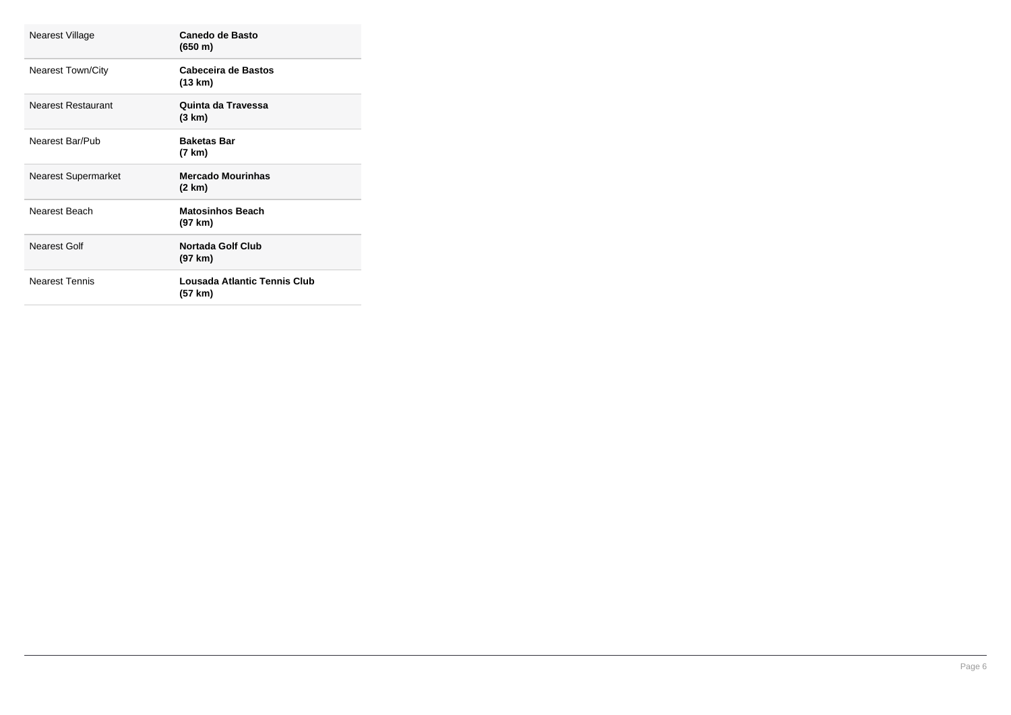| Nearest Village            | Canedo de Basto<br>(650 m)              |
|----------------------------|-----------------------------------------|
| <b>Nearest Town/City</b>   | Cabeceira de Bastos<br>(13 km)          |
| Nearest Restaurant         | Quinta da Travessa<br>(3 km)            |
| Nearest Bar/Pub            | <b>Baketas Bar</b><br>(7 km)            |
| <b>Nearest Supermarket</b> | <b>Mercado Mourinhas</b><br>(2 km)      |
| Nearest Beach              | <b>Matosinhos Beach</b><br>(97 km)      |
| Nearest Golf               | <b>Nortada Golf Club</b><br>(97 km)     |
| <b>Nearest Tennis</b>      | Lousada Atlantic Tennis Club<br>(57 km) |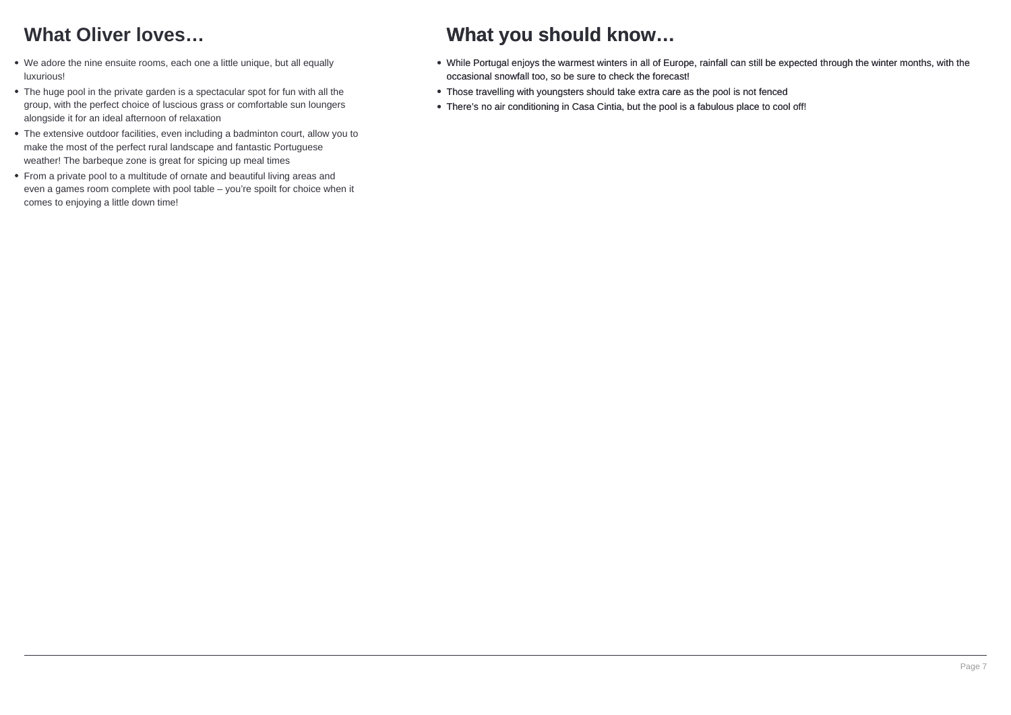## **What Oliver loves…**

- We adore the nine ensuite rooms, each one a little unique, but all equally luxurious!
- The huge pool in the private garden is a spectacular spot for fun with all the group, with the perfect choice of luscious grass or comfortable sun loungers alongside it for an ideal afternoon of relaxation
- The extensive outdoor facilities, even including a badminton court, allow you to make the most of the perfect rural landscape and fantastic Portuguese weather! The barbeque zone is great for spicing up meal times
- From a private pool to a multitude of ornate and beautiful living areas and even a games room complete with pool table – you're spoilt for choice when it comes to enjoying a little down time!

## **What you should know…**

- While Portugal enjoys the warmest winters in all of Europe, rainfall can still be expected through the winter months, with the occasional snowfall too, so be sure to check the forecast!
- Those travelling with youngsters should take extra care as the pool is not fenced
- There's no air conditioning in Casa Cintia, but the pool is a fabulous place to cool off!